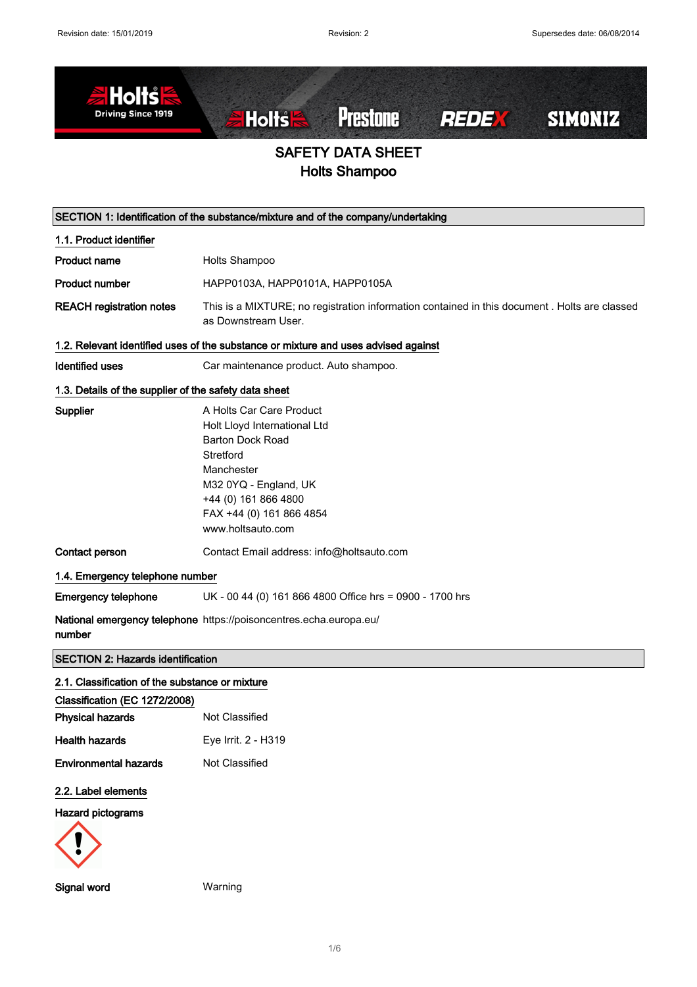

|                                                       | SECTION 1: Identification of the substance/mixture and of the company/undertaking                                                                                                                                |  |
|-------------------------------------------------------|------------------------------------------------------------------------------------------------------------------------------------------------------------------------------------------------------------------|--|
| 1.1. Product identifier                               |                                                                                                                                                                                                                  |  |
| <b>Product name</b>                                   | Holts Shampoo                                                                                                                                                                                                    |  |
| <b>Product number</b>                                 | HAPP0103A, HAPP0101A, HAPP0105A                                                                                                                                                                                  |  |
| <b>REACH registration notes</b>                       | This is a MIXTURE; no registration information contained in this document . Holts are classed<br>as Downstream User.                                                                                             |  |
|                                                       | 1.2. Relevant identified uses of the substance or mixture and uses advised against                                                                                                                               |  |
| <b>Identified uses</b>                                | Car maintenance product. Auto shampoo.                                                                                                                                                                           |  |
| 1.3. Details of the supplier of the safety data sheet |                                                                                                                                                                                                                  |  |
| Supplier                                              | A Holts Car Care Product<br>Holt Lloyd International Ltd<br><b>Barton Dock Road</b><br>Stretford<br>Manchester<br>M32 0YQ - England, UK<br>+44 (0) 161 866 4800<br>FAX +44 (0) 161 866 4854<br>www.holtsauto.com |  |
| Contact person                                        | Contact Email address: info@holtsauto.com                                                                                                                                                                        |  |
| 1.4. Emergency telephone number                       |                                                                                                                                                                                                                  |  |
| <b>Emergency telephone</b>                            | UK - 00 44 (0) 161 866 4800 Office hrs = 0900 - 1700 hrs                                                                                                                                                         |  |
| number                                                | National emergency telephone https://poisoncentres.echa.europa.eu/                                                                                                                                               |  |
| <b>SECTION 2: Hazards identification</b>              |                                                                                                                                                                                                                  |  |
| 2.1. Classification of the substance or mixture       |                                                                                                                                                                                                                  |  |
| Classification (EC 1272/2008)                         |                                                                                                                                                                                                                  |  |
| <b>Physical hazards</b>                               | Not Classified                                                                                                                                                                                                   |  |
| <b>Health hazards</b>                                 | Eye Irrit. 2 - H319                                                                                                                                                                                              |  |
| <b>Environmental hazards</b>                          | Not Classified                                                                                                                                                                                                   |  |
| 2.2. Label elements<br><b>Hazard pictograms</b>       |                                                                                                                                                                                                                  |  |
|                                                       |                                                                                                                                                                                                                  |  |
| <b>Signal word</b>                                    | Warning                                                                                                                                                                                                          |  |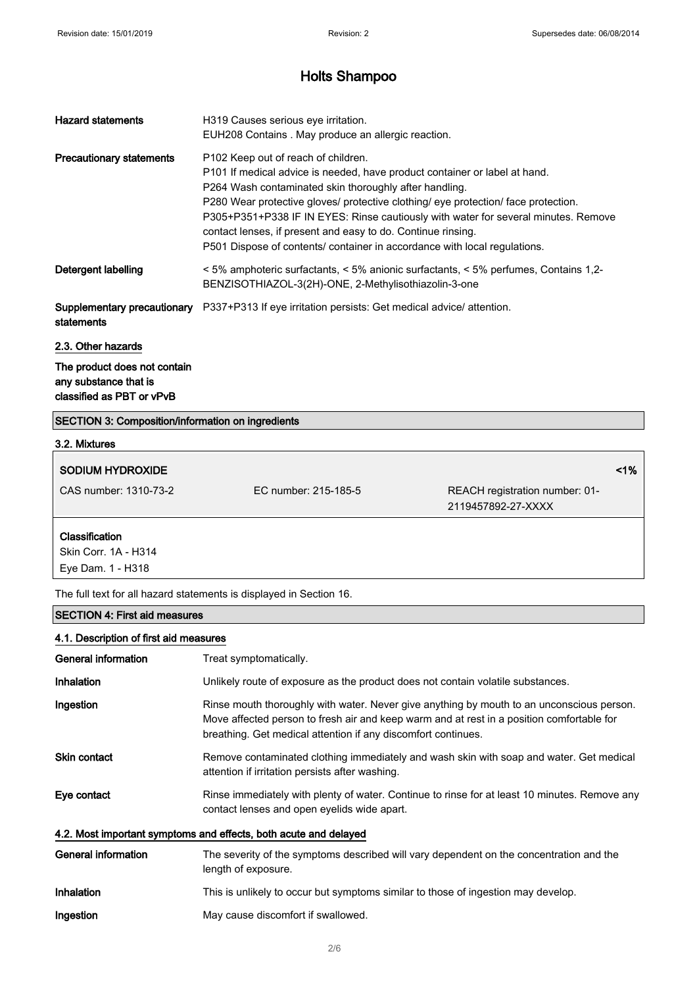| <b>Hazard statements</b>                  | H319 Causes serious eye irritation.<br>EUH208 Contains. May produce an allergic reaction.                                                                                                                                                                                                                                                                                                                                                                                                            |
|-------------------------------------------|------------------------------------------------------------------------------------------------------------------------------------------------------------------------------------------------------------------------------------------------------------------------------------------------------------------------------------------------------------------------------------------------------------------------------------------------------------------------------------------------------|
| <b>Precautionary statements</b>           | P102 Keep out of reach of children.<br>P101 If medical advice is needed, have product container or label at hand.<br>P264 Wash contaminated skin thoroughly after handling.<br>P280 Wear protective gloves/ protective clothing/ eye protection/ face protection.<br>P305+P351+P338 IF IN EYES: Rinse cautiously with water for several minutes. Remove<br>contact lenses, if present and easy to do. Continue rinsing.<br>P501 Dispose of contents/ container in accordance with local regulations. |
| Detergent labelling                       | $\leq$ 5% amphoteric surfactants, $\leq$ 5% anionic surfactants, $\leq$ 5% perfumes, Contains 1,2-<br>BENZISOTHIAZOL-3(2H)-ONE, 2-Methylisothiazolin-3-one                                                                                                                                                                                                                                                                                                                                           |
| Supplementary precautionary<br>statements | P337+P313 If eye irritation persists: Get medical advice/ attention.                                                                                                                                                                                                                                                                                                                                                                                                                                 |
| 2.3. Other hazards                        |                                                                                                                                                                                                                                                                                                                                                                                                                                                                                                      |
| The product does not contain              |                                                                                                                                                                                                                                                                                                                                                                                                                                                                                                      |

any substance that is classified as PBT or vPvB

# SECTION 3: Composition/information on ingredients

| 3.2. Mixtures         |                      |                                                      |            |
|-----------------------|----------------------|------------------------------------------------------|------------|
| SODIUM HYDROXIDE      |                      |                                                      | $\leq 1\%$ |
| CAS number: 1310-73-2 | EC number: 215-185-5 | REACH registration number: 01-<br>2119457892-27-XXXX |            |
| Classification        |                      |                                                      |            |

Skin Corr. 1A - H314 Eye Dam. 1 - H318

The full text for all hazard statements is displayed in Section 16.

# SECTION 4: First aid measures

| 4.1. Description of first aid measures                           |                                                                                                                                                                                                                                                         |  |
|------------------------------------------------------------------|---------------------------------------------------------------------------------------------------------------------------------------------------------------------------------------------------------------------------------------------------------|--|
| General information                                              | Treat symptomatically.                                                                                                                                                                                                                                  |  |
| <b>Inhalation</b>                                                | Unlikely route of exposure as the product does not contain volatile substances.                                                                                                                                                                         |  |
| Ingestion                                                        | Rinse mouth thoroughly with water. Never give anything by mouth to an unconscious person.<br>Move affected person to fresh air and keep warm and at rest in a position comfortable for<br>breathing. Get medical attention if any discomfort continues. |  |
| <b>Skin contact</b>                                              | Remove contaminated clothing immediately and wash skin with soap and water. Get medical<br>attention if irritation persists after washing.                                                                                                              |  |
| Eye contact                                                      | Rinse immediately with plenty of water. Continue to rinse for at least 10 minutes. Remove any<br>contact lenses and open eyelids wide apart.                                                                                                            |  |
| 4.2. Most important symptoms and effects, both acute and delayed |                                                                                                                                                                                                                                                         |  |
| General information                                              | The severity of the symptoms described will vary dependent on the concentration and the<br>length of exposure.                                                                                                                                          |  |
| <b>Inhalation</b>                                                | This is unlikely to occur but symptoms similar to those of ingestion may develop.                                                                                                                                                                       |  |
| Ingestion                                                        | May cause discomfort if swallowed.                                                                                                                                                                                                                      |  |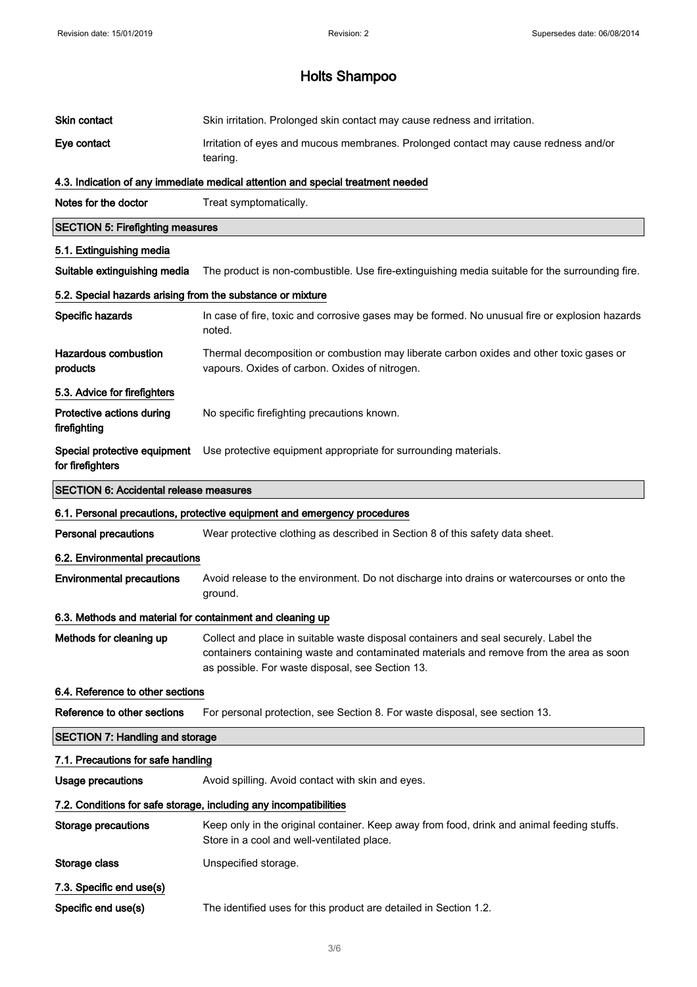| Skin irritation. Prolonged skin contact may cause redness and irritation.                                                                                                                                                           |  |
|-------------------------------------------------------------------------------------------------------------------------------------------------------------------------------------------------------------------------------------|--|
| Irritation of eyes and mucous membranes. Prolonged contact may cause redness and/or<br>tearing.                                                                                                                                     |  |
| 4.3. Indication of any immediate medical attention and special treatment needed                                                                                                                                                     |  |
| Treat symptomatically.                                                                                                                                                                                                              |  |
| <b>SECTION 5: Firefighting measures</b>                                                                                                                                                                                             |  |
|                                                                                                                                                                                                                                     |  |
| The product is non-combustible. Use fire-extinguishing media suitable for the surrounding fire.                                                                                                                                     |  |
| 5.2. Special hazards arising from the substance or mixture                                                                                                                                                                          |  |
| In case of fire, toxic and corrosive gases may be formed. No unusual fire or explosion hazards<br>noted.                                                                                                                            |  |
| Thermal decomposition or combustion may liberate carbon oxides and other toxic gases or<br>vapours. Oxides of carbon. Oxides of nitrogen.                                                                                           |  |
|                                                                                                                                                                                                                                     |  |
| No specific firefighting precautions known.                                                                                                                                                                                         |  |
| Special protective equipment<br>Use protective equipment appropriate for surrounding materials.                                                                                                                                     |  |
| SECTION 6: Accidental release measures                                                                                                                                                                                              |  |
|                                                                                                                                                                                                                                     |  |
| 6.1. Personal precautions, protective equipment and emergency procedures                                                                                                                                                            |  |
| Wear protective clothing as described in Section 8 of this safety data sheet.                                                                                                                                                       |  |
| 6.2. Environmental precautions                                                                                                                                                                                                      |  |
| Avoid release to the environment. Do not discharge into drains or watercourses or onto the<br>ground.                                                                                                                               |  |
| 6.3. Methods and material for containment and cleaning up                                                                                                                                                                           |  |
| Collect and place in suitable waste disposal containers and seal securely. Label the<br>containers containing waste and contaminated materials and remove from the area as soon<br>as possible. For waste disposal, see Section 13. |  |
| 6.4. Reference to other sections                                                                                                                                                                                                    |  |
| For personal protection, see Section 8. For waste disposal, see section 13.                                                                                                                                                         |  |
| <b>SECTION 7: Handling and storage</b>                                                                                                                                                                                              |  |
| 7.1. Precautions for safe handling                                                                                                                                                                                                  |  |
| Avoid spilling. Avoid contact with skin and eyes.                                                                                                                                                                                   |  |
| 7.2. Conditions for safe storage, including any incompatibilities                                                                                                                                                                   |  |
| Keep only in the original container. Keep away from food, drink and animal feeding stuffs.<br>Store in a cool and well-ventilated place.                                                                                            |  |
| Unspecified storage.                                                                                                                                                                                                                |  |
|                                                                                                                                                                                                                                     |  |
|                                                                                                                                                                                                                                     |  |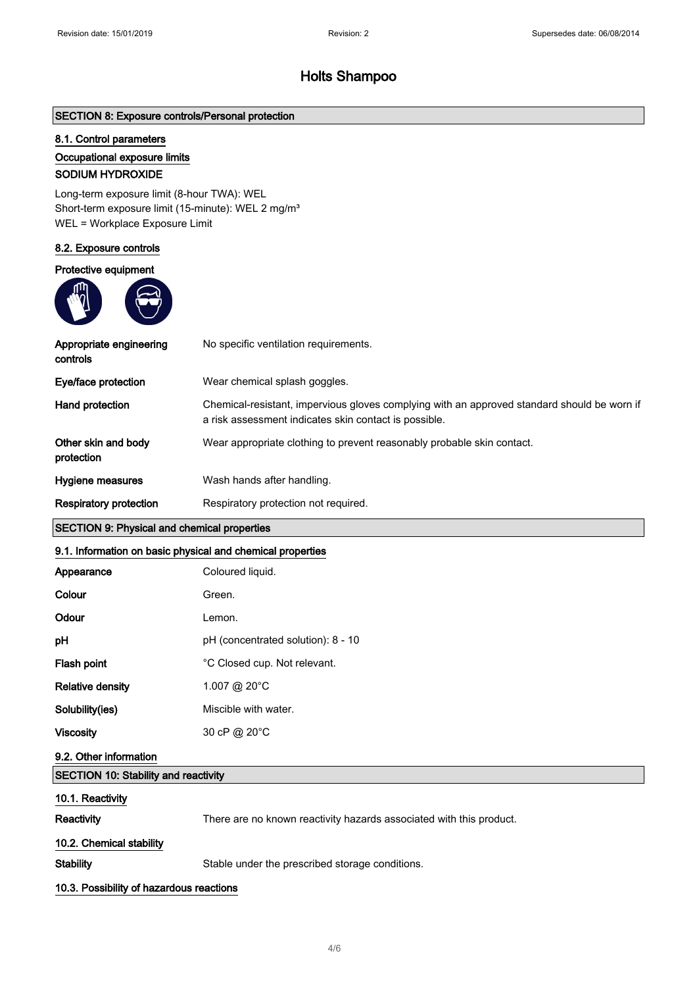# SECTION 8: Exposure controls/Personal protection

## 8.1. Control parameters

#### Occupational exposure limits

### SODIUM HYDROXIDE

Long-term exposure limit (8-hour TWA): WEL Short-term exposure limit (15-minute): WEL 2 mg/m<sup>3</sup> WEL = Workplace Exposure Limit

#### 8.2. Exposure controls

#### Protective equipment



| Appropriate engineering<br>controls | No specific ventilation requirements.                                                                                                                |
|-------------------------------------|------------------------------------------------------------------------------------------------------------------------------------------------------|
| Eye/face protection                 | Wear chemical splash goggles.                                                                                                                        |
| Hand protection                     | Chemical-resistant, impervious gloves complying with an approved standard should be worn if<br>a risk assessment indicates skin contact is possible. |
| Other skin and body<br>protection   | Wear appropriate clothing to prevent reasonably probable skin contact.                                                                               |
| Hygiene measures                    | Wash hands after handling.                                                                                                                           |
| <b>Respiratory protection</b>       | Respiratory protection not required.                                                                                                                 |

# SECTION 9: Physical and chemical properties

# 9.1. Information on basic physical and chemical properties

| Appearance                                  | Coloured liquid.                                                    |
|---------------------------------------------|---------------------------------------------------------------------|
| Colour                                      | Green.                                                              |
| Odour                                       | Lemon.                                                              |
| pH                                          | pH (concentrated solution): 8 - 10                                  |
| Flash point                                 | °C Closed cup. Not relevant.                                        |
| <b>Relative density</b>                     | 1.007 @ 20°C                                                        |
| Solubility(ies)                             | Miscible with water.                                                |
| <b>Viscosity</b>                            | 30 cP @ 20°C                                                        |
| 9.2. Other information                      |                                                                     |
| <b>SECTION 10: Stability and reactivity</b> |                                                                     |
| 10.1. Reactivity                            |                                                                     |
| Reactivity                                  | There are no known reactivity hazards associated with this product. |
| 10.2. Chemical stability                    |                                                                     |

Stability Stable under the prescribed storage conditions.

#### 10.3. Possibility of hazardous reactions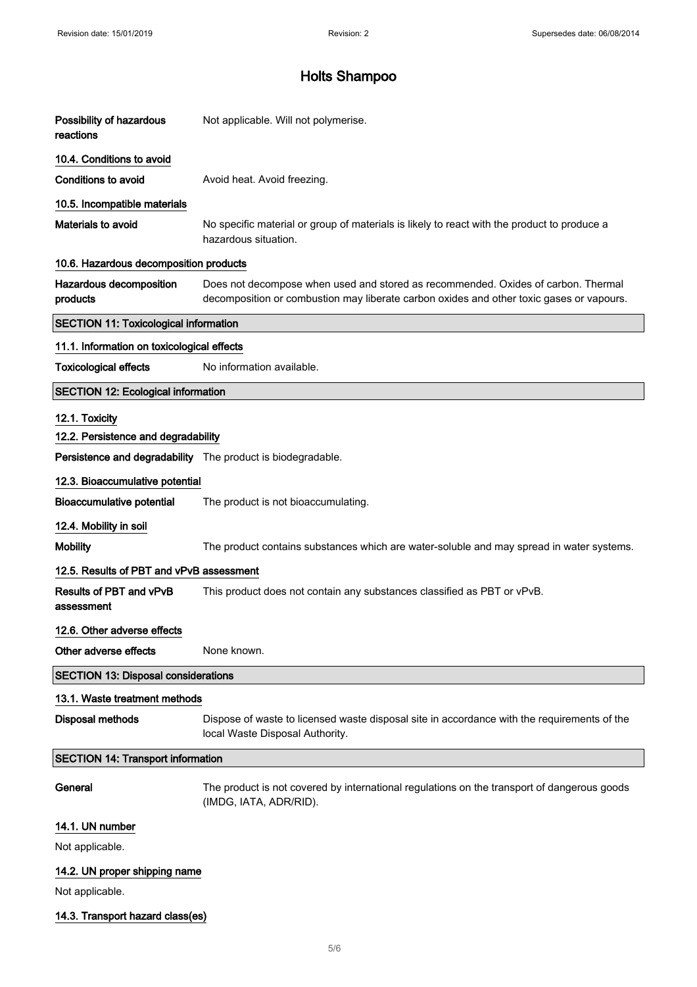| Possibility of hazardous<br>reactions                       | Not applicable. Will not polymerise.                                                                                                                                          |
|-------------------------------------------------------------|-------------------------------------------------------------------------------------------------------------------------------------------------------------------------------|
| 10.4. Conditions to avoid                                   |                                                                                                                                                                               |
| <b>Conditions to avoid</b>                                  | Avoid heat. Avoid freezing.                                                                                                                                                   |
| 10.5. Incompatible materials                                |                                                                                                                                                                               |
| Materials to avoid                                          | No specific material or group of materials is likely to react with the product to produce a<br>hazardous situation.                                                           |
| 10.6. Hazardous decomposition products                      |                                                                                                                                                                               |
| Hazardous decomposition<br>products                         | Does not decompose when used and stored as recommended. Oxides of carbon. Thermal<br>decomposition or combustion may liberate carbon oxides and other toxic gases or vapours. |
| <b>SECTION 11: Toxicological information</b>                |                                                                                                                                                                               |
| 11.1. Information on toxicological effects                  |                                                                                                                                                                               |
| <b>Toxicological effects</b>                                | No information available.                                                                                                                                                     |
| <b>SECTION 12: Ecological information</b>                   |                                                                                                                                                                               |
| 12.1. Toxicity<br>12.2. Persistence and degradability       |                                                                                                                                                                               |
| Persistence and degradability The product is biodegradable. |                                                                                                                                                                               |
| 12.3. Bioaccumulative potential                             |                                                                                                                                                                               |
| <b>Bioaccumulative potential</b>                            | The product is not bioaccumulating.                                                                                                                                           |
| 12.4. Mobility in soil                                      |                                                                                                                                                                               |
| <b>Mobility</b>                                             | The product contains substances which are water-soluble and may spread in water systems.                                                                                      |
| 12.5. Results of PBT and vPvB assessment                    |                                                                                                                                                                               |
| Results of PBT and vPvB<br>assessment                       | This product does not contain any substances classified as PBT or vPvB.                                                                                                       |
| 12.6. Other adverse effects                                 |                                                                                                                                                                               |
| Other adverse effects                                       | None known.                                                                                                                                                                   |
| <b>SECTION 13: Disposal considerations</b>                  |                                                                                                                                                                               |
| 13.1. Waste treatment methods                               |                                                                                                                                                                               |
| <b>Disposal methods</b>                                     | Dispose of waste to licensed waste disposal site in accordance with the requirements of the<br>local Waste Disposal Authority.                                                |
| <b>SECTION 14: Transport information</b>                    |                                                                                                                                                                               |
| General                                                     | The product is not covered by international regulations on the transport of dangerous goods<br>(IMDG, IATA, ADR/RID).                                                         |
| 14.1. UN number                                             |                                                                                                                                                                               |
| Not applicable.                                             |                                                                                                                                                                               |
| 14.2. UN proper shipping name                               |                                                                                                                                                                               |
| Not applicable.                                             |                                                                                                                                                                               |
| 14.3. Transport hazard class(es)                            |                                                                                                                                                                               |